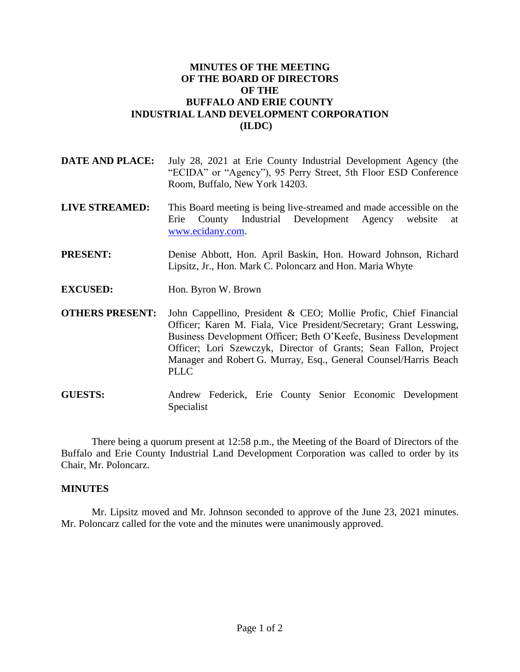## **MINUTES OF THE MEETING OF THE BOARD OF DIRECTORS OF THE BUFFALO AND ERIE COUNTY INDUSTRIAL LAND DEVELOPMENT CORPORATION (ILDC)**

- **DATE AND PLACE:** July 28, 2021 at Erie County Industrial Development Agency (the "ECIDA" or "Agency"), 95 Perry Street, 5th Floor ESD Conference Room, Buffalo, New York 14203.
- **LIVE STREAMED:** This Board meeting is being live-streamed and made accessible on the Erie County Industrial Development Agency website at [www.ecidany.com.](http://www.ecidany.com/)
- **PRESENT:** Denise Abbott, Hon. April Baskin, Hon. Howard Johnson, Richard Lipsitz, Jr., Hon. Mark C. Poloncarz and Hon. Maria Whyte
- **EXCUSED:** Hon. Byron W. Brown
- **OTHERS PRESENT:** John Cappellino, President & CEO; Mollie Profic, Chief Financial Officer; Karen M. Fiala, Vice President/Secretary; Grant Lesswing, Business Development Officer; Beth O'Keefe, Business Development Officer; Lori Szewczyk, Director of Grants; Sean Fallon, Project Manager and Robert G. Murray, Esq., General Counsel/Harris Beach PLLC
- **GUESTS:** Andrew Federick, Erie County Senior Economic Development Specialist

There being a quorum present at 12:58 p.m., the Meeting of the Board of Directors of the Buffalo and Erie County Industrial Land Development Corporation was called to order by its Chair, Mr. Poloncarz.

## **MINUTES**

Mr. Lipsitz moved and Mr. Johnson seconded to approve of the June 23, 2021 minutes. Mr. Poloncarz called for the vote and the minutes were unanimously approved.